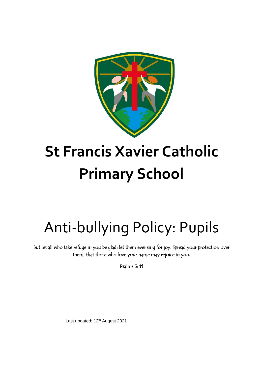

# **St Francis Xavier Catholic Primary School**

# Anti-bullying Policy: Pupils

But let all who take refuge in you be glad; let them ever sing for joy. Spread your protection over them, that those who love your name may rejoice in you.

Psalms 5: 11

Last updated: 12<sup>th</sup> August 2021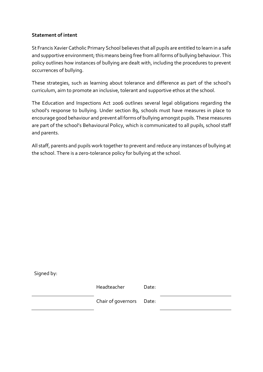#### **Statement of intent**

St Francis Xavier Catholic Primary School believes that all pupils are entitled to learn in a safe and supportive environment; this means being free from all forms of bullying behaviour. This policy outlines how instances of bullying are dealt with, including the procedures to prevent occurrences of bullying.

These strategies, such as learning about tolerance and difference as part of the school's curriculum, aim to promote an inclusive, tolerant and supportive ethos at the school.

The Education and Inspections Act 2006 outlines several legal obligations regarding the school's response to bullying. Under section 89, schools must have measures in place to encourage good behaviour and prevent all forms of bullying amongst pupils. These measures are part of the school's Behavioural Policy, which is communicated to all pupils, school staff and parents.

All staff, parents and pupils work together to prevent and reduce any instances of bullying at the school. There is a zero-tolerance policy for bullying at the school.

| Signed by: |                          |       |  |
|------------|--------------------------|-------|--|
|            | Headteacher              | Date: |  |
|            | Chair of governors Date: |       |  |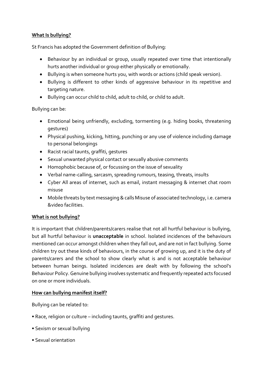### **What Is bullying?**

St Francis has adopted the Government definition of Bullying:

- Behaviour by an individual or group, usually repeated over time that intentionally hurts another individual or group either physically or emotionally.
- Bullying is when someone hurts you, with words or actions (child speak version).
- Bullying is different to other kinds of aggressive behaviour in its repetitive and targeting nature.
- Bullying can occur child to child, adult to child, or child to adult.

Bullying can be:

- Emotional being unfriendly, excluding, tormenting (e.g. hiding books, threatening gestures)
- Physical pushing, kicking, hitting, punching or any use of violence including damage to personal belongings
- Racist racial taunts, graffiti, gestures
- Sexual unwanted physical contact or sexually abusive comments
- Homophobic because of, or focussing on the issue of sexuality
- Verbal name-calling, sarcasm, spreading rumours, teasing, threats, insults
- Cyber All areas of internet, such as email, instant messaging & internet chat room misuse
- Mobile threats by text messaging & calls Misuse of associated technology, i.e. camera &video facilities.

# **What is not bullying?**

It is important that children/parents/carers realise that not all hurtful behaviour is bullying, but all hurtful behaviour is **unacceptable** in school. Isolated incidences of the behaviours mentioned can occur amongst children when they fall out, and are not in fact bullying. Some children try out these kinds of behaviours, in the course of growing up, and it is the duty of parents/carers and the school to show clearly what is and is not acceptable behaviour between human beings. Isolated incidences are dealt with by following the school's Behaviour Policy. Genuine bullying involves systematic and frequently repeated acts focused on one or more individuals.

# **How can bullying manifest itself?**

Bullying can be related to:

- Race, religion or culture including taunts, graffiti and gestures.
- Sexism or sexual bullying
- Sexual orientation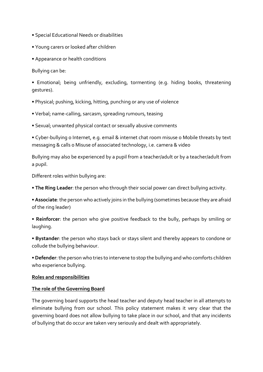- Special Educational Needs or disabilities
- Young carers or looked after children
- Appearance or health conditions

Bullying can be:

• Emotional; being unfriendly, excluding, tormenting (e.g. hiding books, threatening gestures).

- Physical; pushing, kicking, hitting, punching or any use of violence
- Verbal; name-calling, sarcasm, spreading rumours, teasing
- Sexual; unwanted physical contact or sexually abusive comments

• Cyber-bullying o Internet, e.g. email & internet chat room misuse o Mobile threats by text messaging & calls o Misuse of associated technology, i.e. camera & video

Bullying may also be experienced by a pupil from a teacher/adult or by a teacher/adult from a pupil.

Different roles within bullying are:

• **The Ring Leader**: the person who through their social power can direct bullying activity.

• **Associate**: the person who actively joins in the bullying (sometimes because they are afraid of the ring leader)

• **Reinforcer**: the person who give positive feedback to the bully, perhaps by smiling or laughing.

• **Bystander**: the person who stays back or stays silent and thereby appears to condone or collude the bullying behaviour.

• **Defender**: the person who tries to intervene to stop the bullying and who comforts children who experience bullying.

#### **Roles and responsibilities**

#### **The role of the Governing Board**

The governing board supports the head teacher and deputy head teacher in all attempts to eliminate bullying from our school. This policy statement makes it very clear that the governing board does not allow bullying to take place in our school, and that any incidents of bullying that do occur are taken very seriously and dealt with appropriately.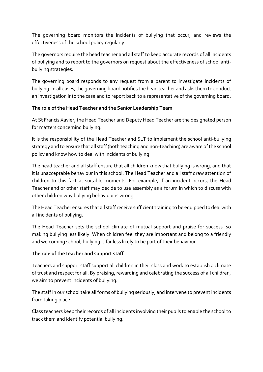The governing board monitors the incidents of bullying that occur, and reviews the effectiveness of the school policy regularly.

The governors require the head teacher and all staff to keep accurate records of all incidents of bullying and to report to the governors on request about the effectiveness of school antibullying strategies.

The governing board responds to any request from a parent to investigate incidents of bullying. In all cases, the governing board notifies the head teacher and asks them to conduct an investigation into the case and to report back to a representative of the governing board.

## **The role of the Head Teacher and the Senior Leadership Team**

At St Francis Xavier, the Head Teacher and Deputy Head Teacher are the designated person for matters concerning bullying.

It is the responsibility of the Head Teacher and SLT to implement the school anti-bullying strategy and to ensure that all staff (both teaching and non-teaching) are aware of the school policy and know how to deal with incidents of bullying.

The head teacher and all staff ensure that all children know that bullying is wrong, and that it is unacceptable behaviour in this school. The Head Teacher and all staff draw attention of children to this fact at suitable moments. For example, if an incident occurs, the Head Teacher and or other staff may decide to use assembly as a forum in which to discuss with other children why bullying behaviour is wrong.

The Head Teacher ensures that all staff receive sufficient training to be equipped to deal with all incidents of bullying.

The Head Teacher sets the school climate of mutual support and praise for success, so making bullying less likely. When children feel they are important and belong to a friendly and welcoming school, bullying is far less likely to be part of their behaviour.

### **The role of the teacher and support staff**

Teachers and support staff support all children in their class and work to establish a climate of trust and respect for all. By praising, rewarding and celebrating the success of all children, we aim to prevent incidents of bullying.

The staff in our school take all forms of bullying seriously, and intervene to prevent incidents from taking place.

Class teachers keep their records of all incidents involving their pupils to enable the school to track them and identify potential bullying.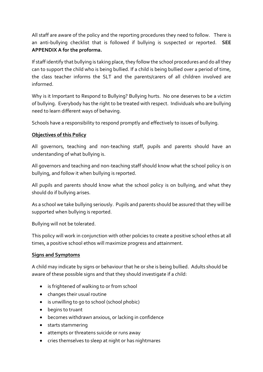All staff are aware of the policy and the reporting procedures they need to follow. There is an anti-bullying checklist that is followed if bullying is suspected or reported. **SEE APPENDIX A for the proforma.**

If staff identify that bullying is taking place, they follow the school procedures and do all they can to support the child who is being bullied. If a child is being bullied over a period of time, the class teacher informs the SLT and the parents/carers of all children involved are informed.

Why is it Important to Respond to Bullying? Bullying hurts. No one deserves to be a victim of bullying. Everybody has the right to be treated with respect. Individuals who are bullying need to learn different ways of behaving.

Schools have a responsibility to respond promptly and effectively to issues of bullying.

## **Objectives of this Policy**

All governors, teaching and non-teaching staff, pupils and parents should have an understanding of what bullying is.

All governors and teaching and non-teaching staff should know what the school policy is on bullying, and follow it when bullying is reported.

All pupils and parents should know what the school policy is on bullying, and what they should do if bullying arises.

As a school we take bullying seriously. Pupils and parents should be assured that they will be supported when bullying is reported.

Bullying will not be tolerated.

This policy will work in conjunction with other policies to create a positive school ethos at all times, a positive school ethos will maximize progress and attainment.

# **Signs and Symptoms**

A child may indicate by signs or behaviour that he or she is being bullied. Adults should be aware of these possible signs and that they should investigate if a child:

- is frightened of walking to or from school
- changes their usual routine
- is unwilling to go to school (school phobic)
- begins to truant
- becomes withdrawn anxious, or lacking in confidence
- starts stammering
- attempts or threatens suicide or runs away
- cries themselves to sleep at night or has nightmares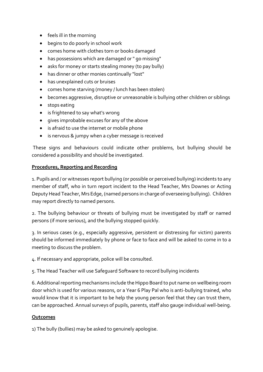- feels ill in the morning
- begins to do poorly in school work
- comes home with clothes torn or books damaged
- has possessions which are damaged or " go missing"
- asks for money or starts stealing money (to pay bully)
- has dinner or other monies continually "lost"
- has unexplained cuts or bruises
- comes home starving (money / lunch has been stolen)
- becomes aggressive, disruptive or unreasonable is bullying other children or siblings
- stops eating
- is frightened to say what's wrong
- gives improbable excuses for any of the above
- is afraid to use the internet or mobile phone
- is nervous & jumpy when a cyber message is received

These signs and behaviours could indicate other problems, but bullying should be considered a possibility and should be investigated.

### **Procedures, Reporting and Recording**

1. Pupils and / or witnesses report bullying (or possible or perceived bullying) incidents to any member of staff, who in turn report incident to the Head Teacher, Mrs Downes or Acting Deputy Head Teacher, Mrs Edge, (named persons in charge of overseeing bullying). Children may report directly to named persons.

2. The bullying behaviour or threats of bullying must be investigated by staff or named persons (if more serious), and the bullying stopped quickly.

3. In serious cases (e.g., especially aggressive, persistent or distressing for victim) parents should be informed immediately by phone or face to face and will be asked to come in to a meeting to discuss the problem.

4. If necessary and appropriate, police will be consulted.

5. The Head Teacher will use Safeguard Software to record bullying incidents

6. Additional reporting mechanisms include the Hippo Board to put name on wellbeing room door which is used for various reasons, or a Year 6 Play Pal who is anti-bullying trained, who would know that it is important to be help the young person feel that they can trust them, can be approached. Annual surveys of pupils, parents, staff also gauge individual well-being.

# **Outcomes**

1) The bully (bullies) may be asked to genuinely apologise.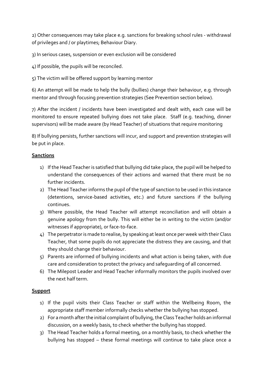2) Other consequences may take place e.g. sanctions for breaking school rules - withdrawal of privileges and / or playtimes; Behaviour Diary.

3) In serious cases, suspension or even exclusion will be considered

4) If possible, the pupils will be reconciled.

5) The victim will be offered support by learning mentor

6) An attempt will be made to help the bully (bullies) change their behaviour, e.g. through mentor and through focusing prevention strategies (See Prevention section below).

7) After the incident / incidents have been investigated and dealt with, each case will be monitored to ensure repeated bullying does not take place. Staff (e.g. teaching, dinner supervisors) will be made aware (by Head Teacher) of situations that require monitoring

8) If bullying persists, further sanctions will incur, and support and prevention strategies will be put in place.

### **Sanctions**

- 1) If the Head Teacher is satisfied that bullying did take place, the pupil will be helped to understand the consequences of their actions and warned that there must be no further incidents.
- 2) The Head Teacher informs the pupil of the type of sanction to be used in this instance (detentions, service-based activities, etc.) and future sanctions if the bullying continues.
- 3) Where possible, the Head Teacher will attempt reconciliation and will obtain a genuine apology from the bully. This will either be in writing to the victim (and/or witnesses if appropriate), or face-to-face.
- 4) The perpetrator is made to realise, by speaking at least once per week with their Class Teacher, that some pupils do not appreciate the distress they are causing, and that they should change their behaviour.
- 5) Parents are informed of bullying incidents and what action is being taken, with due care and consideration to protect the privacy and safeguarding of all concerned.
- 6) The Milepost Leader and Head Teacher informally monitors the pupils involved over the next half term.

# **Support**

- 1) If the pupil visits their Class Teacher or staff within the Wellbeing Room, the appropriate staff member informally checks whether the bullying has stopped.
- 2) For a month after the initial complaint of bullying, the Class Teacher holds an informal discussion, on a weekly basis, to check whether the bullying has stopped.
- 3) The Head Teacher holds a formal meeting, on a monthly basis, to check whether the bullying has stopped – these formal meetings will continue to take place once a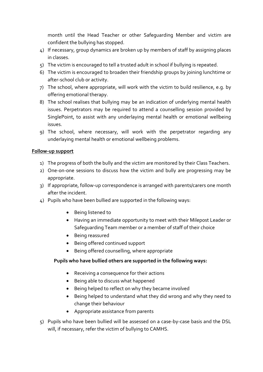month until the Head Teacher or other Safeguarding Member and victim are confident the bullying has stopped.

- 4) If necessary, group dynamics are broken up by members of staff by assigning places in classes.
- 5) The victim is encouraged to tell a trusted adult in school if bullying is repeated.
- 6) The victim is encouraged to broaden their friendship groups by joining lunchtime or after-school club or activity.
- 7) The school, where appropriate, will work with the victim to build resilience, e.g. by offering emotional therapy.
- 8) The school realises that bullying may be an indication of underlying mental health issues. Perpetrators may be required to attend a counselling session provided by SinglePoint, to assist with any underlaying mental health or emotional wellbeing issues.
- 9) The school, where necessary, will work with the perpetrator regarding any underlaying mental health or emotional wellbeing problems.

#### **Follow-up support**

- 1) The progress of both the bully and the victim are monitored by their Class Teachers.
- 2) One-on-one sessions to discuss how the victim and bully are progressing may be appropriate.
- 3) If appropriate, follow-up correspondence is arranged with parents/carers one month after the incident.
- 4) Pupils who have been bullied are supported in the following ways:
	- Being listened to
	- Having an immediate opportunity to meet with their Milepost Leader or Safeguarding Team member or a member of staff of their choice
	- Being reassured
	- Being offered continued support
	- Being offered counselling, where appropriate

#### **Pupils who have bullied others are supported in the following ways:**

- Receiving a consequence for their actions
- Being able to discuss what happened
- Being helped to reflect on why they became involved
- Being helped to understand what they did wrong and why they need to change their behaviour
- Appropriate assistance from parents
- 5) Pupils who have been bullied will be assessed on a case-by-case basis and the DSL will, if necessary, refer the victim of bullying to CAMHS.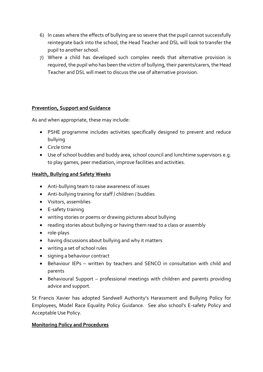- 6) In cases where the effects of bullying are so severe that the pupil cannot successfully reintegrate back into the school, the Head Teacher and DSL will look to transfer the pupil to another school.
- 7) Where a child has developed such complex needs that alternative provision is required, the pupil who has been the victim of bullying, their parents/carers, the Head Teacher and DSL will meet to discuss the use of alternative provision.

### **Prevention, Support and Guidance**

As and when appropriate, these may include:

- PSHE programme includes activities specifically designed to prevent and reduce bullying
- Circle time
- Use of school buddies and buddy area, school council and lunchtime supervisors e.g. to play games, peer mediation, improve facilities and activities.

## **Health, Bullying and Safety Weeks**

- Anti-bullying team to raise awareness of issues
- Anti-bullying training for staff / children / buddies
- Visitors, assemblies
- E-safety training
- writing stories or poems or drawing pictures about bullying
- reading stories about bullying or having them read to a class or assembly
- role-plays
- having discussions about bullying and why it matters
- writing a set of school rules
- signing a behaviour contract
- Behaviour IEPs written by teachers and SENCO in consultation with child and parents
- Behavioural Support professional meetings with children and parents providing advice and support.

St Francis Xavier has adopted Sandwell Authority's Harassment and Bullying Policy for Employees, Model Race Equality Policy Guidance. See also school's E-safety Policy and Acceptable Use Policy.

### **Monitoring Policy and Procedures**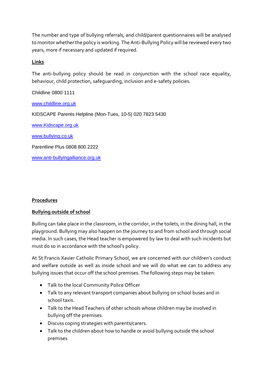The number and type of bullying referrals, and child/parent questionnaires will be analysed to monitor whether the policy is working. The Anti-Bullying Policy will be reviewed every two years, more if necessary and updated if required.

## **Links**

The anti-bullying policy should be read in conjunction with the school race equality, behaviour, child protection, safeguarding, inclusion and e-safety policies.

Childline 0800 1111

[www.childline.org.uk](http://www.childline.org.uk/)

KIDSCAPE Parents Helpline (Mon-Tues, 10-5) 020 7823 5430

[www.Kidscape.org.uk](http://www.kidscape.org.uk/)

[www.bullying.co.uk](http://www.bullying.co.uk/)

Parentline Plus 0808 800 2222

[www.anti-bullyingalliance.org.uk](http://www.anti-bullyingalliance.org.uk/)

### **Procedures**

### **Bullying outside of school**

Bulling can take place in the classroom, in the corridor, in the toilets, in the dining hall, in the playground. Bullying may also happen on the journey to and from school and through social media. In such cases, the Head teacher is empowered by law to deal with such incidents but must do so in accordance with the school's policy.

At St Francis Xavier Catholic Primary School, we are concerned with our children's conduct and welfare outside as well as inside school and we will do what we can to address any bullying issues that occur off the school premises. The following steps may be taken:

- Talk to the local Community Police Officer
- Talk to any relevant transport companies about bullying on school buses and in school taxis.
- Talk to the Head Teachers of other schools whose children may be involved in bullying off the premises.
- Discuss coping strategies with parents/carers.
- Talk to the children about how to handle or avoid bullying outside the school premises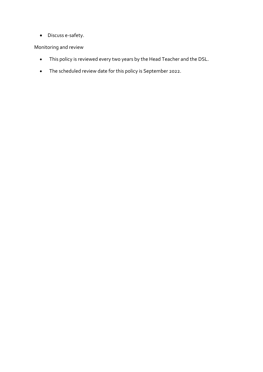• Discuss e-safety.

Monitoring and review

- This policy is reviewed every two years by the Head Teacher and the DSL.
- The scheduled review date for this policy is September 2022.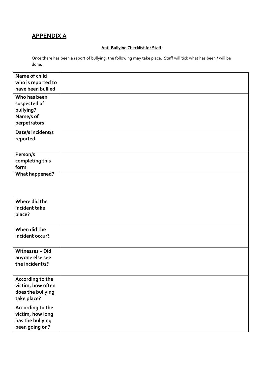# **APPENDIX A**

#### **Anti-Bullying Checklist for Staff**

Once there has been a report of bullying, the following may take place. Staff will tick what has been / will be done.

| Name of child<br>who is reported to<br>have been bullied |  |
|----------------------------------------------------------|--|
| Who has been                                             |  |
| suspected of                                             |  |
| bullying?                                                |  |
| Name/s of                                                |  |
| perpetrators                                             |  |
| Date/s incident/s                                        |  |
| reported                                                 |  |
|                                                          |  |
| Person/s                                                 |  |
| completing this                                          |  |
| form<br><b>What happened?</b>                            |  |
|                                                          |  |
|                                                          |  |
|                                                          |  |
| Where did the                                            |  |
| incident take                                            |  |
| place?                                                   |  |
|                                                          |  |
| When did the<br>incident occur?                          |  |
|                                                          |  |
| Witnesses-Did                                            |  |
| anyone else see                                          |  |
| the incident/s?                                          |  |
|                                                          |  |
| According to the                                         |  |
| victim, how often                                        |  |
| does the bullying                                        |  |
| take place?                                              |  |
| According to the                                         |  |
| victim, how long<br>has the bullying                     |  |
| been going on?                                           |  |
|                                                          |  |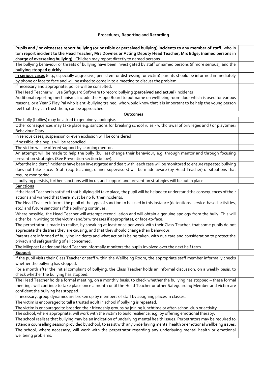**Procedures, Reporting and Recording Pupils and / or witnesses report bullying (or possible or perceived bullying) incidents to any member of staff**, who in turn **report incident to the Head Teacher, Mrs Downes or Acting Deputy Head Teacher, Mrs Edge, (named persons in charge of overseeing bullying).** Children may report directly to named persons. The bullying behaviour or threats of bullying have been investigated by staff or named persons (if more serious), and the **bullying stopped quickly**. **In serious cases** (e.g., especially aggressive, persistent or distressing for victim) parents should be informed immediately by phone or face to face and will be asked to come in to a meeting to discuss the problem. If necessary and appropriate, police will be consulted. The Head Teacher will use Safeguard Software to record bullying (**perceived and actual**) incidents Additional reporting mechanisms include the Hippo Board to put name on wellbeing room door which is used for various reasons, or a Year 6 Play Pal who is anti-bullying trained, who would know that it is important to be help the young person feel that they can trust them, can be approached. **Outcomes** The bully (bullies) may be asked to genuinely apologise. Other consequences may take place e.g. sanctions for breaking school rules - withdrawal of privileges and / or playtimes; Behaviour Diary. In serious cases, suspension or even exclusion will be considered. If possible, the pupils will be reconciled. The victim will be offered support by learning mentor. An attempt will be made to help the bully (bullies) change their behaviour, e.g. through mentor and through focusing prevention strategies (See Prevention section below). After the incident / incidents have been investigated and dealt with, each case will be monitored to ensure repeated bullying does not take place. Staff (e.g. teaching, dinner supervisors) will be made aware (by Head Teacher) of situations that require monitoring If bullying persists, further sanctions will incur, and support and prevention strategies will be put in place. **Sanctions**  If the Head Teacher is satisfied that bullying did take place, the pupil will be helped to understand the consequences of their actions and warned that there must be no further incidents. The Head Teacher informs the pupil of the type of sanction to be used in this instance (detentions, service-based activities, etc.) and future sanctions if the bullying continues. Where possible, the Head Teacher will attempt reconciliation and will obtain a genuine apology from the bully. This will either be in writing to the victim (and/or witnesses if appropriate), or face-to-face. The perpetrator is made to realise, by speaking at least once per week with their Class Teacher, that some pupils do not appreciate the distress they are causing, and that they should change their behaviour. Parents are informed of bullying incidents and what action is being taken, with due care and consideration to protect the privacy and safeguarding of all concerned. The Milepost Leader and Head Teacher informally monitors the pupils involved over the next half term. **Support**  If the pupil visits their Class Teacher or staff within the Wellbeing Room, the appropriate staff member informally checks whether the bullying has stopped. For a month after the initial complaint of bullying, the Class Teacher holds an informal discussion, on a weekly basis, to check whether the bullying has stopped. The Head Teacher holds a formal meeting, on a monthly basis, to check whether the bullying has stopped – these formal meetings will continue to take place once a month until the Head Teacher or other Safeguarding Member and victim are confident the bullying has stopped. If necessary, group dynamics are broken up by members of staff by assigning places in classes. The victim is encouraged to tell a trusted adult in school if bullying is repeated. The victim is encouraged to broaden their friendship groups by joining lunchtime or after-school club or activity. The school, where appropriate, will work with the victim to build resilience, e.g. by offering emotional therapy. The school realises that bullying may be an indication of underlying mental health issues. Perpetrators may be required to

attend a counselling session provided by school, to assist with any underlaying mental health or emotional wellbeing issues. The school, where necessary, will work with the perpetrator regarding any underlaying mental health or emotional wellbeing problems.